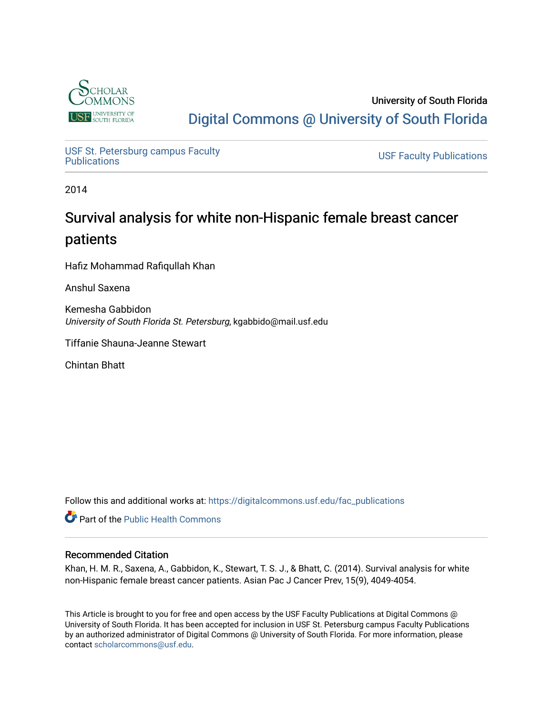

University of South Florida [Digital Commons @ University of South Florida](https://digitalcommons.usf.edu/) 

USF St. Petersburg campus Faculty<br>Publications

**USF Faculty Publications** 

2014

# Survival analysis for white non-Hispanic female breast cancer patients

Hafiz Mohammad Rafiqullah Khan

Anshul Saxena

Kemesha Gabbidon University of South Florida St. Petersburg, kgabbido@mail.usf.edu

Tiffanie Shauna-Jeanne Stewart

Chintan Bhatt

Follow this and additional works at: [https://digitalcommons.usf.edu/fac\\_publications](https://digitalcommons.usf.edu/fac_publications?utm_source=digitalcommons.usf.edu%2Ffac_publications%2F3767&utm_medium=PDF&utm_campaign=PDFCoverPages)

Part of the [Public Health Commons](http://network.bepress.com/hgg/discipline/738?utm_source=digitalcommons.usf.edu%2Ffac_publications%2F3767&utm_medium=PDF&utm_campaign=PDFCoverPages) 

## Recommended Citation

Khan, H. M. R., Saxena, A., Gabbidon, K., Stewart, T. S. J., & Bhatt, C. (2014). Survival analysis for white non-Hispanic female breast cancer patients. Asian Pac J Cancer Prev, 15(9), 4049-4054.

This Article is brought to you for free and open access by the USF Faculty Publications at Digital Commons @ University of South Florida. It has been accepted for inclusion in USF St. Petersburg campus Faculty Publications by an authorized administrator of Digital Commons @ University of South Florida. For more information, please contact [scholarcommons@usf.edu](mailto:scholarcommons@usf.edu).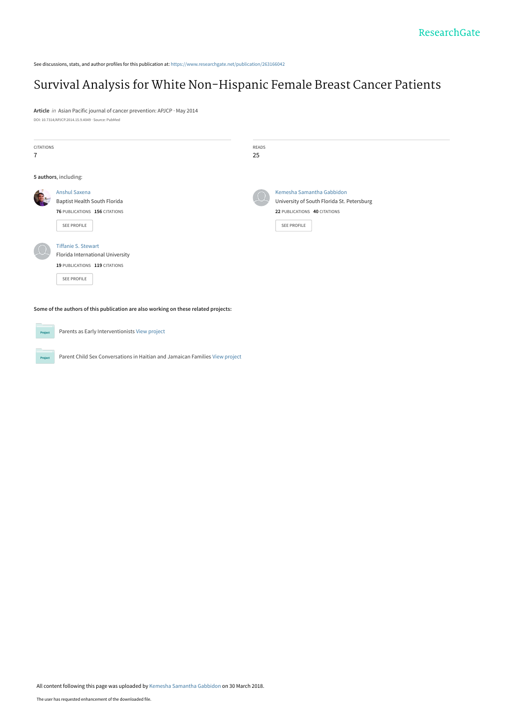See discussions, stats, and author profiles for this publication at: [https://www.researchgate.net/publication/263166042](https://www.researchgate.net/publication/263166042_Survival_Analysis_for_White_Non-Hispanic_Female_Breast_Cancer_Patients?enrichId=rgreq-9beb8c4b991606e66a905f398da7ae73-XXX&enrichSource=Y292ZXJQYWdlOzI2MzE2NjA0MjtBUzo2MDk2OTYxNjc3NzIxNjBAMTUyMjM3NDMwMjM4Nw%3D%3D&el=1_x_2&_esc=publicationCoverPdf)

## [Survival Analysis for White Non-Hispanic Female Breast Cancer Patients](https://www.researchgate.net/publication/263166042_Survival_Analysis_for_White_Non-Hispanic_Female_Breast_Cancer_Patients?enrichId=rgreq-9beb8c4b991606e66a905f398da7ae73-XXX&enrichSource=Y292ZXJQYWdlOzI2MzE2NjA0MjtBUzo2MDk2OTYxNjc3NzIxNjBAMTUyMjM3NDMwMjM4Nw%3D%3D&el=1_x_3&_esc=publicationCoverPdf)

**Article** in Asian Pacific journal of cancer prevention: APJCP · May 2014 DOI: 10.7314/APJCP.2014.15.9.4049 · Source: PubMed

| <b>CITATIONS</b><br>$\overline{1}$                                                  |                                                                                                                | READS<br>25 |                                                                                                                        |  |  |
|-------------------------------------------------------------------------------------|----------------------------------------------------------------------------------------------------------------|-------------|------------------------------------------------------------------------------------------------------------------------|--|--|
|                                                                                     | 5 authors, including:                                                                                          |             |                                                                                                                        |  |  |
|                                                                                     | Anshul Saxena<br>Baptist Health South Florida<br>76 PUBLICATIONS 156 CITATIONS<br>SEE PROFILE                  |             | Kemesha Samantha Gabbidon<br>University of South Florida St. Petersburg<br>22 PUBLICATIONS 40 CITATIONS<br>SEE PROFILE |  |  |
|                                                                                     | <b>Tiffanie S. Stewart</b><br>Florida International University<br>19 PUBLICATIONS 119 CITATIONS<br>SEE PROFILE |             |                                                                                                                        |  |  |
| Some of the authors of this publication are also working on these related projects: |                                                                                                                |             |                                                                                                                        |  |  |
| Project                                                                             | Parents as Early Interventionists View project                                                                 |             |                                                                                                                        |  |  |

Parent Child Sex Conversations in Haitian and Jamaican Families [View project](https://www.researchgate.net/project/Parent-Child-Sex-Conversations-in-Haitian-and-Jamaican-Families?enrichId=rgreq-9beb8c4b991606e66a905f398da7ae73-XXX&enrichSource=Y292ZXJQYWdlOzI2MzE2NjA0MjtBUzo2MDk2OTYxNjc3NzIxNjBAMTUyMjM3NDMwMjM4Nw%3D%3D&el=1_x_9&_esc=publicationCoverPdf)

**Project** 

All content following this page was uploaded by [Kemesha Samantha Gabbidon](https://www.researchgate.net/profile/Kemesha_Gabbidon?enrichId=rgreq-9beb8c4b991606e66a905f398da7ae73-XXX&enrichSource=Y292ZXJQYWdlOzI2MzE2NjA0MjtBUzo2MDk2OTYxNjc3NzIxNjBAMTUyMjM3NDMwMjM4Nw%3D%3D&el=1_x_10&_esc=publicationCoverPdf) on 30 March 2018.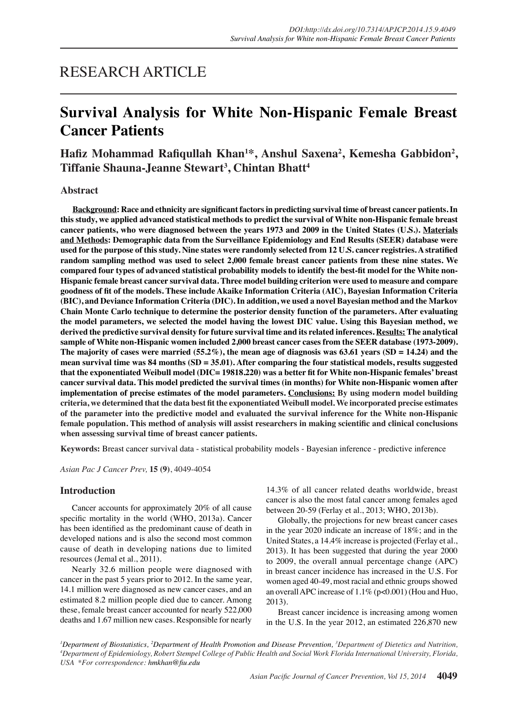## RESEARCH ARTICLE

# **Survival Analysis for White Non-Hispanic Female Breast Cancer Patients**

## Hafiz Mohammad Rafiqullah Khan<sup>1\*</sup>, Anshul Saxena<sup>2</sup>, Kemesha Gabbidon<sup>2</sup>, **Tiffanie Shauna-Jeanne Stewart3 , Chintan Bhatt<sup>4</sup>**

## **Abstract**

**Background: Race and ethnicity are significant factors in predicting survival time of breast cancer patients. In this study, we applied advanced statistical methods to predict the survival of White non-Hispanic female breast cancer patients, who were diagnosed between the years 1973 and 2009 in the United States (U.S.). Materials and Methods: Demographic data from the Surveillance Epidemiology and End Results (SEER) database were used for the purpose of this study. Nine states were randomly selected from 12 U.S. cancer registries. A stratified random sampling method was used to select 2,000 female breast cancer patients from these nine states. We compared four types of advanced statistical probability models to identify the best-fit model for the White non-Hispanic female breast cancer survival data. Three model building criterion were used to measure and compare goodness of fit of the models. These include Akaike Information Criteria (AIC), Bayesian Information Criteria (BIC), and Deviance Information Criteria (DIC). In addition, we used a novel Bayesian method and the Markov Chain Monte Carlo technique to determine the posterior density function of the parameters. After evaluating the model parameters, we selected the model having the lowest DIC value. Using this Bayesian method, we derived the predictive survival density for future survival time and its related inferences. Results: The analytical sample of White non-Hispanic women included 2,000 breast cancer cases from the SEER database (1973-2009). The majority of cases were married (55.2%), the mean age of diagnosis was 63.61 years (SD = 14.24) and the mean survival time was 84 months (SD = 35.01). After comparing the four statistical models, results suggested that the exponentiated Weibull model (DIC= 19818.220) was a better fit for White non-Hispanic females' breast cancer survival data. This model predicted the survival times (in months) for White non-Hispanic women after implementation of precise estimates of the model parameters. Conclusions: By using modern model building criteria, we determined that the data best fit the exponentiated Weibull model. We incorporated precise estimates of the parameter into the predictive model and evaluated the survival inference for the White non-Hispanic female population. This method of analysis will assist researchers in making scientific and clinical conclusions when assessing survival time of breast cancer patients.**

**Keywords:** Breast cancer survival data - statistical probability models - Bayesian inference - predictive inference

*Asian Pac J Cancer Prev,* **15 (9)**, 4049-4054

## **Introduction**

Cancer accounts for approximately 20% of all cause specific mortality in the world (WHO, 2013a). Cancer has been identified as the predominant cause of death in developed nations and is also the second most common cause of death in developing nations due to limited resources (Jemal et al., 2011).

Nearly 32.6 million people were diagnosed with cancer in the past 5 years prior to 2012. In the same year, 14.1 million were diagnosed as new cancer cases, and an estimated 8.2 million people died due to cancer. Among these, female breast cancer accounted for nearly 522,000 deaths and 1.67 million new cases. Responsible for nearly

14.3% of all cancer related deaths worldwide, breast cancer is also the most fatal cancer among females aged between 20-59 (Ferlay et al., 2013; WHO, 2013b).

Globally, the projections for new breast cancer cases in the year 2020 indicate an increase of 18%; and in the United States, a 14.4% increase is projected (Ferlay et al., 2013). It has been suggested that during the year 2000 to 2009, the overall annual percentage change (APC) in breast cancer incidence has increased in the U.S. For women aged 40-49, most racial and ethnic groups showed an overall APC increase of 1.1% (p<0.001) (Hou and Huo, 2013).

Breast cancer incidence is increasing among women in the U.S. In the year 2012, an estimated 226,870 new

*1 Department of Biostatistics, 2 Department of Health Promotion and Disease Prevention, <sup>3</sup> Department of Dietetics and Nutrition, 4 Department of Epidemiology, Robert Stempel College of Public Health and Social Work Florida International University, Florida, USA \*For correspondence: hmkhan@fiu.edu*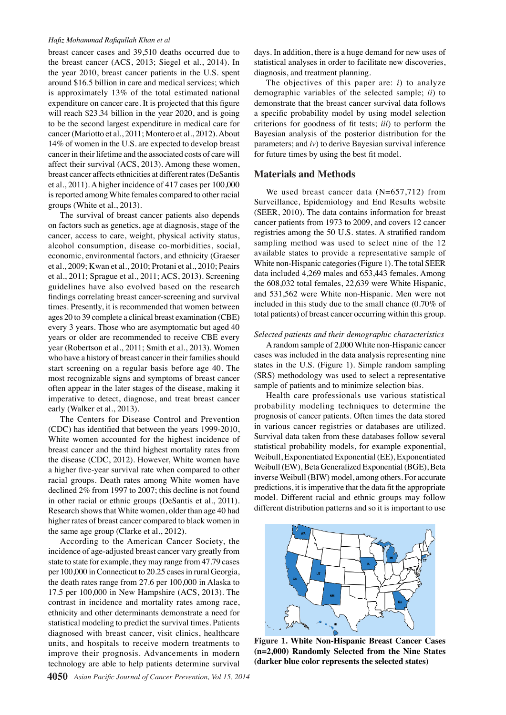#### *Hafiz Mohammad Rafiqullah Khan et al*

breast cancer cases and 39,510 deaths occurred due to the breast cancer (ACS, 2013; Siegel et al., 2014). In the year 2010, breast cancer patients in the U.S. spent around \$16.5 billion in care and medical services; which is approximately 13% of the total estimated national expenditure on cancer care. It is projected that this figure will reach \$23.34 billion in the year 2020, and is going to be the second largest expenditure in medical care for cancer (Mariotto et al., 2011; Montero et al., 2012). About 14% of women in the U.S. are expected to develop breast cancer in their lifetime and the associated costs of care will affect their survival (ACS, 2013). Among these women, breast cancer affects ethnicities at different rates (DeSantis et al., 2011). A higher incidence of 417 cases per 100,000 is reported among White females compared to other racial groups (White et al., 2013).

The survival of breast cancer patients also depends on factors such as genetics, age at diagnosis, stage of the cancer, access to care, weight, physical activity status, alcohol consumption, disease co-morbidities, social, economic, environmental factors, and ethnicity (Graeser et al., 2009; Kwan et al., 2010; Protani et al., 2010; Peairs et al., 2011; Sprague et al., 2011; ACS, 2013). Screening guidelines have also evolved based on the research findings correlating breast cancer-screening and survival times. Presently, it is recommended that women between ages 20 to 39 complete a clinical breast examination (CBE) every 3 years. Those who are asymptomatic but aged 40 years or older are recommended to receive CBE every year (Robertson et al., 2011; Smith et al., 2013). Women who have a history of breast cancer in their families should start screening on a regular basis before age 40. The most recognizable signs and symptoms of breast cancer often appear in the later stages of the disease, making it imperative to detect, diagnose, and treat breast cancer early (Walker et al., 2013).

The Centers for Disease Control and Prevention (CDC) has identified that between the years 1999-2010, White women accounted for the highest incidence of breast cancer and the third highest mortality rates from the disease (CDC, 2012). However, White women have a higher five-year survival rate when compared to other racial groups. Death rates among White women have declined 2% from 1997 to 2007; this decline is not found in other racial or ethnic groups (DeSantis et al., 2011). Research shows that White women, older than age 40 had higher rates of breast cancer compared to black women in the same age group (Clarke et al., 2012).

According to the American Cancer Society, the incidence of age-adjusted breast cancer vary greatly from state to state for example, they may range from 47.79 cases per 100,000 in Connecticut to 20.25 cases in rural Georgia, the death rates range from 27.6 per 100,000 in Alaska to 17.5 per 100,000 in New Hampshire (ACS, 2013). The contrast in incidence and mortality rates among race, ethnicity and other determinants demonstrate a need for statistical modeling to predict the survival times. Patients diagnosed with breast cancer, visit clinics, healthcare units, and hospitals to receive modern treatments to improve their prognosis. Advancements in modern technology are able to help patients determine survival

days. In addition, there is a huge demand for new uses of statistical analyses in order to facilitate new discoveries, diagnosis, and treatment planning.

The objectives of this paper are: *i*) to analyze demographic variables of the selected sample; *ii*) to demonstrate that the breast cancer survival data follows a specific probability model by using model selection criterions for goodness of fit tests; *iii*) to perform the Bayesian analysis of the posterior distribution for the parameters; and *iv*) to derive Bayesian survival inference for future times by using the best fit model.

### **Materials and Methods**

We used breast cancer data (N=657,712) from Surveillance, Epidemiology and End Results website (SEER, 2010). The data contains information for breast cancer patients from 1973 to 2009, and covers 12 cancer registries among the 50 U.S. states. A stratified random sampling method was used to select nine of the 12 available states to provide a representative sample of White non-Hispanic categories (Figure 1). The total SEER data included 4,269 males and 653,443 females. Among the 608,032 total females, 22,639 were White Hispanic, and 531,562 were White non-Hispanic. Men were not included in this study due to the small chance (0.70% of total patients) of breast cancer occurring within this group.

#### *Selected patients and their demographic characteristics*

A random sample of 2,000 White non-Hispanic cancer cases was included in the data analysis representing nine states in the U.S. (Figure 1). Simple random sampling (SRS) methodology was used to select a representative sample of patients and to minimize selection bias.

Health care professionals use various statistical probability modeling techniques to determine the prognosis of cancer patients. Often times the data stored in various cancer registries or databases are utilized. Survival data taken from these databases follow several statistical probability models, for example exponential, Weibull, Exponentiated Exponential (EE), Exponentiated Weibull (EW), Beta Generalized Exponential (BGE), Beta inverse Weibull (BIW) model, among others. For accurate predictions, it is imperative that the data fit the appropriate model. Different racial and ethnic groups may follow different distribution patterns and so it is important to use



**Figure 1. White Non-Hispanic Breast Cancer Cases (n=2,000) Randomly Selected from the Nine States (darker blue color represents the selected states)**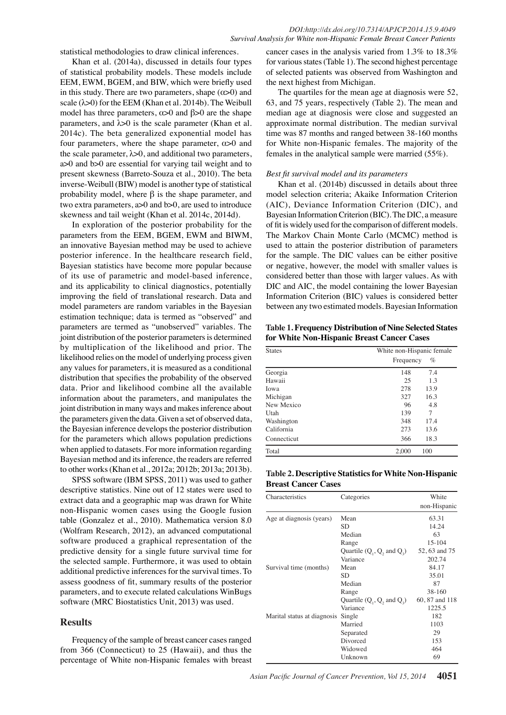statistical methodologies to draw clinical inferences.

Khan et al. (2014a), discussed in details four types of statistical probability models. These models include EEM, EWM, BGEM, and BIW, which were briefly used in this study. There are two parameters, shape  $(\alpha > 0)$  and scale  $(\lambda > 0)$  for the EEM (Khan et al. 2014b). The Weibull model has three parameters,  $\alpha$  > 0 and  $\beta$  > 0 are the shape parameters, and  $\lambda$ >0 is the scale parameter (Khan et al. 2014c). The beta generalized exponential model has four parameters, where the shape parameter,  $\alpha$  > 0 and the scale parameter,  $\lambda > 0$ , and additional two parameters, a>0 and b>0 are essential for varying tail weight and to present skewness (Barreto-Souza et al., 2010). The beta inverse-Weibull (BIW) model is another type of statistical probability model, where  $β$  is the shape parameter, and two extra parameters, a>0 and b>0, are used to introduce skewness and tail weight (Khan et al. 2014c, 2014d).

In exploration of the posterior probability for the parameters from the EEM, BGEM, EWM and BIWM, an innovative Bayesian method may be used to achieve posterior inference. In the healthcare research field, Bayesian statistics have become more popular because of its use of parametric and model-based inference, and its applicability to clinical diagnostics, potentially improving the field of translational research. Data and model parameters are random variables in the Bayesian estimation technique; data is termed as "observed" and parameters are termed as "unobserved" variables. The joint distribution of the posterior parameters is determined by multiplication of the likelihood and prior. The likelihood relies on the model of underlying process given any values for parameters, it is measured as a conditional distribution that specifies the probability of the observed data. Prior and likelihood combine all the available information about the parameters, and manipulates the joint distribution in many ways and makes inference about the parameters given the data. Given a set of observed data, the Bayesian inference develops the posterior distribution for the parameters which allows population predictions when applied to datasets. For more information regarding Bayesian method and its inference, the readers are referred to other works (Khan et al., 2012a; 2012b; 2013a; 2013b).

SPSS software (IBM SPSS, 2011) was used to gather descriptive statistics. Nine out of 12 states were used to extract data and a geographic map was drawn for White non-Hispanic women cases using the Google fusion table (Gonzalez et al., 2010). Mathematica version 8.0 (Wolfram Research, 2012), an advanced computational software produced a graphical representation of the predictive density for a single future survival time for the selected sample. Furthermore, it was used to obtain additional predictive inferences for the survival times. To assess goodness of fit, summary results of the posterior parameters, and to execute related calculations WinBugs software (MRC Biostatistics Unit, 2013) was used.

### **Results**

Frequency of the sample of breast cancer cases ranged from 366 (Connecticut) to 25 (Hawaii), and thus the percentage of White non-Hispanic females with breast

cancer cases in the analysis varied from 1.3% to 18.3% for various states (Table 1). The second highest percentage of selected patients was observed from Washington and the next highest from Michigan.

The quartiles for the mean age at diagnosis were 52, 63, and 75 years, respectively (Table 2). The mean and median age at diagnosis were close and suggested an approximate normal distribution. The median survival time was 87 months and ranged between 38-160 months for White non-Hispanic females. The majority of the females in the analytical sample were married (55%).

#### *Best fit survival model and its parameters*

Khan et al. (2014b) discussed in details about three model selection criteria; Akaike Information Criterion (AIC), Deviance Information Criterion (DIC), and Bayesian Information Criterion (BIC). The DIC, a measure of fit is widely used for the comparison of different models. The Markov Chain Monte Carlo (MCMC) method is used to attain the posterior distribution of parameters for the sample. The DIC values can be either positive or negative, however, the model with smaller values is considered better than those with larger values. As with DIC and AIC, the model containing the lower Bayesian Information Criterion (BIC) values is considered better between any two estimated models. Bayesian Information

**Table 1. Frequency Distribution of Nine Selected States for White Non-Hispanic Breast Cancer Cases**

| White non-Hispanic female |           |  |
|---------------------------|-----------|--|
|                           | %         |  |
| 148                       | 7.4       |  |
| 25                        | 1.3       |  |
| 278                       | 13.9      |  |
| 327                       | 16.3      |  |
| 96                        | 4.8       |  |
| 139                       | 7         |  |
| 348                       | 17.4      |  |
| 273                       | 13.6      |  |
| 366                       | 18.3      |  |
| 2,000                     | 100       |  |
|                           | Frequency |  |

**Table 2. Descriptive Statistics for White Non-Hispanic Breast Cancer Cases**

| Characteristics             | Categories                             | White          |
|-----------------------------|----------------------------------------|----------------|
|                             |                                        | non-Hispanic   |
| Age at diagnosis (years)    | Mean                                   | 63.31          |
|                             | <b>SD</b>                              | 14.24          |
|                             | Median                                 | 63             |
|                             | Range                                  | 15-104         |
|                             | Quartile $(Q_1, Q_2, \text{and } Q_3)$ | 52, 63 and 75  |
|                             | Variance                               | 202.74         |
| Survival time (months)      | Mean                                   | 84.17          |
|                             | <b>SD</b>                              | 35.01          |
|                             | Median                                 | 87             |
|                             | Range                                  | 38-160         |
|                             | Quartile $(Q_1, Q_2,$ and $Q_3)$       | 60, 87 and 118 |
|                             | Variance                               | 1225.5         |
| Marital status at diagnosis | Single                                 | 182            |
|                             | Married                                | 1103           |
|                             | Separated                              | 29             |
|                             | Divorced                               | 153            |
|                             | Widowed                                | 464            |
|                             | Unknown                                | 69             |
|                             |                                        |                |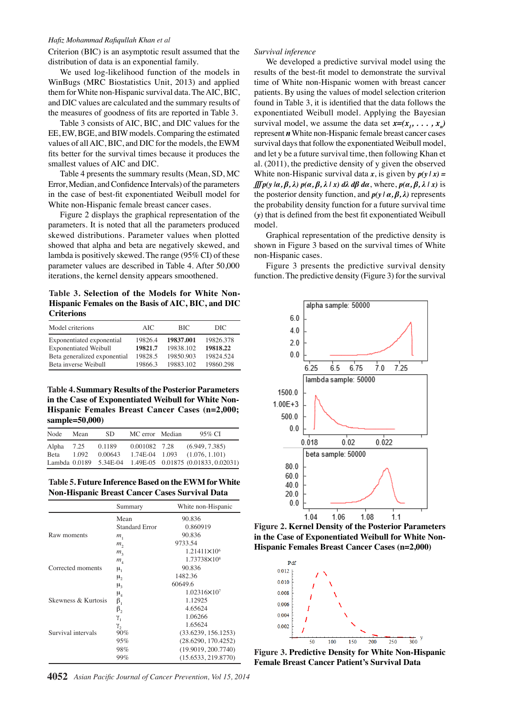#### *Hafiz Mohammad Rafiqullah Khan et al*

Criterion (BIC) is an asymptotic result assumed that the distribution of data is an exponential family.

We used log-likelihood function of the models in WinBugs (MRC Biostatistics Unit, 2013) and applied them for White non-Hispanic survival data. The AIC, BIC, and DIC values are calculated and the summary results of the measures of goodness of fits are reported in Table 3.

Table 3 consists of AIC, BIC, and DIC values for the EE, EW, BGE, and BIW models. Comparing the estimated values of all AIC, BIC, and DIC for the models, the EWM fits better for the survival times because it produces the smallest values of AIC and DIC.

Table 4 presents the summary results (Mean, SD, MC Error, Median, and Confidence Intervals) of the parameters in the case of best-fit exponentiated Weibull model for White non-Hispanic female breast cancer cases.

Figure 2 displays the graphical representation of the parameters. It is noted that all the parameters produced skewed distributions. Parameter values when plotted showed that alpha and beta are negatively skewed, and lambda is positively skewed. The range (95% CI) of these parameter values are described in Table 4. After 50,000 iterations, the kernel density appears smoothened.

**Table 3. Selection of the Models for White Non-Hispanic Females on the Basis of AIC, BIC, and DIC Criterions**

| Model criterions             | AIC.    | <b>BIC</b> | DIC.      |
|------------------------------|---------|------------|-----------|
| Exponentiated exponential    | 19826.4 | 19837.001  | 19826.378 |
| <b>Exponentiated Weibull</b> | 19821.7 | 19838.102  | 19818.22  |
| Beta generalized exponential | 19828.5 | 19850.903  | 19824.524 |
| Beta inverse Weibull         | 19866.3 | 19883.102  | 19860.298 |

**Table 4. Summary Results of the Posterior Parameters in the Case of Exponentiated Weibull for White Non-Hispanic Females Breast Cancer Cases (n=2,000; sample=50,000)**

| Node               | Mean  | SD.               | MC error Median | 95% CI                                                     |
|--------------------|-------|-------------------|-----------------|------------------------------------------------------------|
| Alpha 7.25<br>Beta | 1.092 | 0.1189<br>0.00643 | 0.001082 7.28   | (6.949, 7.385)<br>$1.74E-04$ $1.093$ $(1.076, 1.101)$      |
|                    |       |                   |                 | Lambda 0.0189 5.34E-04 1.49E-05 0.01875 (0.01833, 0.02031) |

**Table 5. Future Inference Based on the EWM for White Non-Hispanic Breast Cancer Cases Survival Data**

|                     | Summary                    | White non-Hispanic      |
|---------------------|----------------------------|-------------------------|
|                     | Mean                       | 90.836                  |
|                     | <b>Standard Error</b>      | 0.860919                |
| Raw moments         | $m_{1}$                    | 90.836                  |
|                     | $m_{\overline{2}}$         | 9733.54                 |
|                     | $m_{\tilde{t}}$            | 1.21411×10 <sup>6</sup> |
|                     | $m_{\scriptscriptstyle 4}$ | 1.73738×10 <sup>8</sup> |
| Corrected moments   | $\mu_{1}$                  | 90.836                  |
|                     | μ,                         | 1482.36                 |
|                     | $\mu_{\alpha}$             | 60649.6                 |
|                     | $\mu_{4}$                  | 1.02316×10 <sup>7</sup> |
| Skewness & Kurtosis | $\beta_1$                  | 1.12925                 |
|                     | $\beta_{2}$                | 4.65624                 |
|                     | γ,                         | 1.06266                 |
|                     | γ,                         | 1.65624                 |
| Survival intervals  | 90%                        | (33.6239, 156.1253)     |
|                     | 95%                        | (28.6290, 170.4252)     |
|                     | 98%                        | (19.9019, 200.7740)     |
|                     | 99%                        | (15.6533, 219.8770)     |

**4052** *Asian Pacific Journal of Cancer Prevention, Vol 15, 2014*

### *Survival inference*

We developed a predictive survival model using the results of the best-fit model to demonstrate the survival time of White non-Hispanic women with breast cancer patients. By using the values of model selection criterion found in Table 3, it is identified that the data follows the exponentiated Weibull model. Applying the Bayesian survival model, we assume the data set  $x=(x_1, \ldots, x_n)$ represent *n* White non-Hispanic female breast cancer cases survival days that follow the exponentiated Weibull model, and let y be a future survival time, then following Khan et al. (2011), the predictive density of y given the observed White non-Hispanic survival data  $x$ , is given by  $p(y | x) =$  $\iiint p(y | \alpha, \beta, \lambda) p(\alpha, \beta, \lambda | x) d\lambda d\beta d\alpha$ , where,  $p(\alpha, \beta, \lambda | x)$  is the posterior density function, and *p(y | α, β, λ)* represents the probability density function for a future survival time (*y*) that is defined from the best fit exponentiated Weibull model.

Graphical representation of the predictive density is shown in Figure 3 based on the survival times of White non-Hispanic cases.

Figure 3 presents the predictive survival density function. The predictive density (Figure 3) for the survival



**Figure 2. Kernel Density of the Posterior Parameters in the Case of Exponentiated Weibull for White Non-Hispanic Females Breast Cancer Cases (n=2,000)**



**Figure 3. Predictive Density for White Non-Hispanic Female Breast Cancer Patient's Survival Data**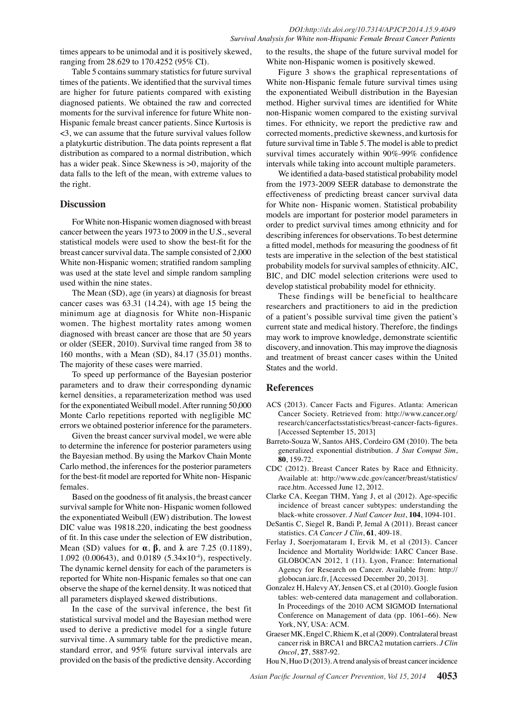ranging from 28.629 to 170.4252 (95% CI).

times appears to be unimodal and it is positively skewed,<br> **31.3** the simulation of the particle system and it is positively skewed,<br>
Table 5 contains summary statistics for future survival in Figure 3 shows the graphical Table 5 contains summary statistics for future survival times of the patients. We identified that the survival times are higher for future patients compared with existing diagnosed patients. We obtained the raw and corrected moments for the survival inference for future White non-Hispanic female breast cancer patients. Since Kurtosis is <3, we can assume that the future survival values follow a platykurtic distribution. The data points represent a flat has a wider peak. Since Skewness is  $>0$ , majority of the data falls to the left of the mean, with extreme values to the right.

### **Discussion**

cancer between the years 1973 to 2009 in the U.S., several statistical models were used to show the best-fit for the breast cancer survival data. The sample consisted of 2,000 White non-Hispanic women; stratified random sampling was used at the state level and simple random sampling used within the nine states.

The Mean (SD), age (in years) at diagnosis for breast cancer cases was 63.31 (14.24), with age 15 being the minimum age at diagnosis for White non-Hispanic women. The highest mortality rates among women diagnosed with breast cancer are those that are 50 years or older (SEER, 2010). Survival time ranged from 38 to 160 months, with a Mean (SD), 84.17 (35.01) months. The majority of these cases were married.

To speed up performance of the Bayesian posterior parameters and to draw their corresponding dynamic kernel densities, a reparameterization method was used for the exponentiated Weibull model. After running 50,000 Monte Carlo repetitions reported with negligible MC errors we obtained posterior inference for the parameters.

Given the breast cancer survival model, we were able to determine the inference for posterior parameters using the Bayesian method. By using the Markov Chain Monte Carlo method, the inferences for the posterior parameters for the best-fit model are reported for White non- Hispanic females.

Based on the goodness of fit analysis, the breast cancer survival sample for White non- Hispanic women followed the exponentiated Weibull (EW) distribution. The lowest DIC value was 19818.220, indicating the best goodness of fit. In this case under the selection of EW distribution, Mean (SD) values for **α**, **β**, and **λ** are 7.25 (0.1189), 1.092 (0.00643), and 0.0189 (5.34×10-4), respectively. The dynamic kernel density for each of the parameters is reported for White non-Hispanic females so that one can observe the shape of the kernel density. It was noticed that all parameters displayed skewed distributions.

In the case of the survival inference, the best fit statistical survival model and the Bayesian method were used to derive a predictive model for a single future survival time. A summary table for the predictive mean, standard error, and 95% future survival intervals are provided on the basis of the predictive density. According

to the results, the shape of the future survival model for White non-Hispanic women is positively skewed.

distribution as compared to a normal distribution, whic**h00.**&urvival times accurately within 90%-99% confidenc**E00.0** Figure 3 shows the graphical representations of White non-Hispanic female future survival times using the exponentiated Weibull distribution in the Bayesian method. Higher survival times are identified for White non-Hispanic women compared to the existing survival times. For ethnicity, we report the predictive raw and corrected moments, predictive skewness, and kurtosis for future survival time in Table 5. The model is able to predict

**20.3 6.3 10.1** intervals while taking into account multiple parameters. We identified a <del>data-</del>based statistical probability model

25.0 ests are imperative in the selection of the best statistical 25.0 For White non-Hispanic women diagnosed with breast 50.0 rder to predict survival times among sthe licity and for<sup>50</sup>.0 75.0 **From the 1978-2009 SEER** database to demonstrate the **75.80.0 46.8 56.3** for White non- Hispanic women. Statistical probability probability models**se.n**survival samples of ethnicity. AIC,<br>BIC, and DIC model selection *x*-riterions were used to 30.0 31 0 0 effectiveness of predicting breast cancer survival data models are important for posterior model parameters in describing inferences for observations. To best determine a fitted model, methods for measuring the goodness of fit  $BIC$ , and  $DIC$  model selection *c*riterions were used to develop statistical probability model for ethnicity.

0 Newly Mission diagnosed treatments Newly diagnosed with treatment Persistence or recurrence Remission These findings will be beneficial to healthcare researchers and practitioners to aid in  $\overline{a}$  the prediction of a patient's possible survival time given the patient's current state and medical history. Therefore, the findings may work to improve knowledge, demonstrate scientific discovery and innovation. This the improve the diagnosis and treatment of breast cance  $\frac{p}{q}$  cases within the United  $\frac{1}{2}$ States and the world $\frac{1}{2}$ 

None

Newly diagnosed without treatment

Alan diagnose diagnosed treatment of the set of  $\mathbf{A}$ 

**12.8**

**51.1 46.8 56.3**

**38.0 31.3**

**20.3 6.3 10.1**

**25.0 30.020.3 6.3 10.1**

**46.8 56.325.0 27.6 33.1 31.3 30.023.7**

## **References**

ACS (2013). Cancer Facts and Figures. Atlanta: American Cancer Society. Retrieved from: http://www.cancer.org/ research/cancerfactsstatistics/breast-cancer-facts-figures. [Accessed September 15, 2013]

ㅎ lewly

- Barreto-Souza W, Santos AHS, Cordeiro GM (2010). The beta generalized exponential distribution. *J Stat Comput Sim*, **80**, 159-72.
- CDC (2012). Breast Cancer Rates by Race and Ethnicity. Available at: http://www.cdc.gov/cancer/breast/statistics/ race.htm. Accessed June 12, 2012.
- Clarke CA, Keegan THM, Yang J, et al (2012). Age-specific incidence of breast cancer subtypes: understanding the black-white crossover. *J Natl Cancer Inst*, **104**, 1094-101.
- DeSantis C, Siegel R, Bandi P, Jemal A (2011). Breast cancer statistics. *CA Cancer J Clin*, **61**, 409-18.
- Ferlay J, Soerjomataram I, Ervik M, et al (2013). Cancer Incidence and Mortality Worldwide: IARC Cancer Base. GLOBOCAN 2012, 1 (11). Lyon, France: International Agency for Research on Cancer. Available from: http:// globocan.iarc.fr, [Accessed December 20, 2013].
- Gonzalez H, Halevy AY, Jensen CS, et al (2010). Google fusion tables: web-centered data management and collaboration. In Proceedings of the 2010 ACM SIGMOD International Conference on Management of data (pp. 1061–66). New York, NY, USA: ACM.
- Graeser MK, Engel C, Rhiem K, et al (2009). Contralateral breast cancer risk in BRCA1 and BRCA2 mutation carriers. *J Clin Oncol*, **27**, 5887-92.

Hou N, Huo D (2013). A trend analysis of breast cancer incidence